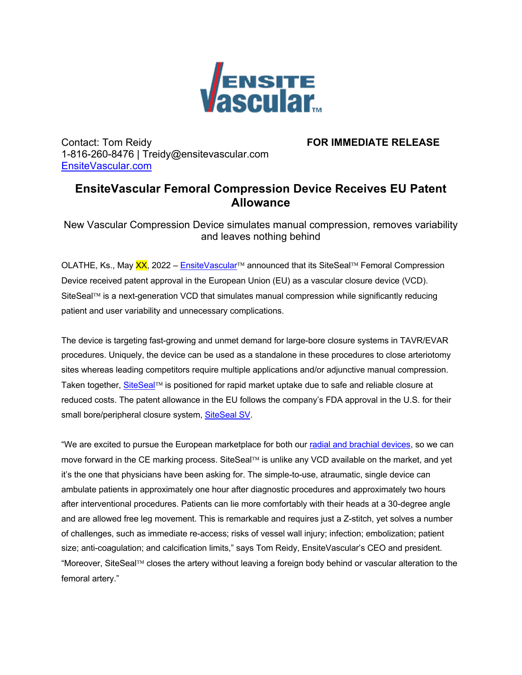

Contact: Tom Reidy **FOR IMMEDIATE RELEASE** 1-816-260-8476 | Treidy@ensitevascular.com EnsiteVascular.com

## **EnsiteVascular Femoral Compression Device Receives EU Patent Allowance**

New Vascular Compression Device simulates manual compression, removes variability and leaves nothing behind

OLATHE, Ks., May XX, 2022 – EnsiteVascular™ announced that its SiteSeal™ Femoral Compression Device received patent approval in the European Union (EU) as a vascular closure device (VCD). SiteSeal<sup>TM</sup> is a next-generation VCD that simulates manual compression while significantly reducing patient and user variability and unnecessary complications.

The device is targeting fast-growing and unmet demand for large-bore closure systems in TAVR/EVAR procedures. Uniquely, the device can be used as a standalone in these procedures to close arteriotomy sites whereas leading competitors require multiple applications and/or adjunctive manual compression. Taken together, SiteSeal™ is positioned for rapid market uptake due to safe and reliable closure at reduced costs. The patent allowance in the EU follows the company's FDA approval in the U.S. for their small bore/peripheral closure system, SiteSeal SV.

"We are excited to pursue the European marketplace for both our radial and brachial devices, so we can move forward in the CE marking process. SiteSeal<sup>TM</sup> is unlike any VCD available on the market, and yet it's the one that physicians have been asking for. The simple-to-use, atraumatic, single device can ambulate patients in approximately one hour after diagnostic procedures and approximately two hours after interventional procedures. Patients can lie more comfortably with their heads at a 30-degree angle and are allowed free leg movement. This is remarkable and requires just a Z-stitch, yet solves a number of challenges, such as immediate re-access; risks of vessel wall injury; infection; embolization; patient size; anti-coagulation; and calcification limits," says Tom Reidy, EnsiteVascular's CEO and president. "Moreover, SiteSeal<sup>™</sup> closes the artery without leaving a foreign body behind or vascular alteration to the femoral artery."